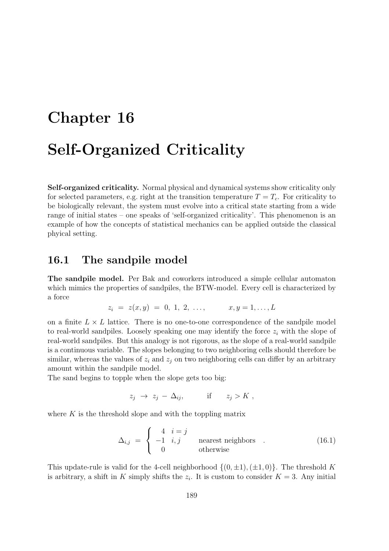# Chapter 16 Self-Organized Criticality

Self-organized criticality. Normal physical and dynamical systems show criticality only for selected parameters, e.g. right at the transition temperature  $T = T_c$ . For criticality to be biologically relevant, the system must evolve into a critical state starting from a wide range of initial states – one speaks of 'self-organized criticality'. This phenomenon is an example of how the concepts of statistical mechanics can be applied outside the classical phyical setting.

#### 16.1 The sandpile model

The sandpile model. Per Bak and coworkers introduced a simple cellular automaton which mimics the properties of sandpiles, the BTW-model. Every cell is characterized by a force

$$
z_i = z(x, y) = 0, 1, 2, ..., \qquad x, y = 1, ..., L
$$

on a finite  $L \times L$  lattice. There is no one-to-one correspondence of the sandpile model to real-world sandpiles. Loosely speaking one may identify the force  $z_i$  with the slope of real-world sandpiles. But this analogy is not rigorous, as the slope of a real-world sandpile is a continuous variable. The slopes belonging to two neighboring cells should therefore be similar, whereas the values of  $z_i$  and  $z_j$  on two neighboring cells can differ by an arbitrary amount within the sandpile model.

The sand begins to topple when the slope gets too big:

$$
z_j \to z_j - \Delta_{ij}, \qquad \text{if} \qquad z_j > K \;,
$$

where  $K$  is the threshold slope and with the toppling matrix

$$
\Delta_{i,j} = \begin{cases}\n4 & i = j \\
-1 & i, j \\
0 & \text{otherwise}\n\end{cases}
$$
\n(16.1)

This update-rule is valid for the 4-cell neighborhood  $\{(0, \pm 1), (\pm 1, 0)\}\)$ . The threshold K is arbitrary, a shift in K simply shifts the  $z_i$ . It is custom to consider  $K = 3$ . Any initial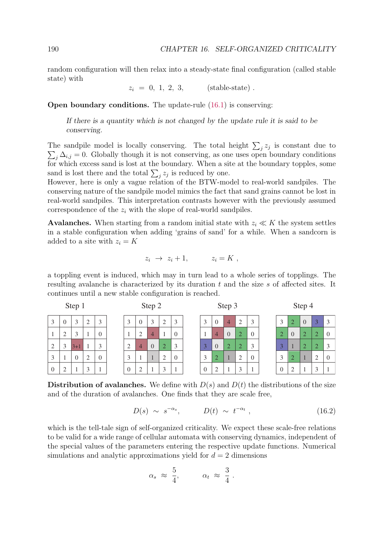random configuration will then relax into a steady-state final configuration (called stable state) with

 $z_i = 0, 1, 2, 3,$  (stable-state).

Open boundary conditions. The update-rule (16.1) is conserving:

If there is a quantity which is not changed by the update rule it is said to be conserving.

The sandpile model is locally conserving. The total height  $\sum_j z_j$  is constant due to  $\sum_j \Delta_{i,j} = 0$ . Globally though it is not conserving, as one uses open boundary conditions for which excess sand is lost at the boundary. When a site at the boundary topples, some sand is lost there and the total  $\sum_j z_j$  is reduced by one.

However, here is only a vague relation of the BTW-model to real-world sandpiles. The conserving nature of the sandpile model mimics the fact that sand grains cannot be lost in real-world sandpiles. This interpretation contrasts however with the previously assumed correspondence of the  $z_i$  with the slope of real-world sandpiles.

Avalanches. When starting from a random initial state with  $z_i \ll K$  the system settles in a stable configuration when adding 'grains of sand' for a while. When a sandcorn is added to a site with  $z_i = K$ 

$$
z_i \rightarrow z_i + 1, \qquad z_i = K ,
$$

a toppling event is induced, which may in turn lead to a whole series of topplings. The resulting avalanche is characterized by its duration t and the size s of affected sites. It continues until a new stable configuration is reached.

| Step 1         |                 |                |               |                   |  | Step 2         |                |                |                |          | Step 3 |          |                |                |                |          | Step 4            |                |  |                |  |  |
|----------------|-----------------|----------------|---------------|-------------------|--|----------------|----------------|----------------|----------------|----------|--------|----------|----------------|----------------|----------------|----------|-------------------|----------------|--|----------------|--|--|
| 3              | $\theta$        | 3              | ി<br>∠        | $\mathbf{\Omega}$ |  | 3              | $\overline{0}$ | 3              | 2              | 3        |        | 3        | $\theta$       | $\overline{4}$ | 2              | 3        | $\mathbf{\Omega}$ | 2              |  | $\overline{3}$ |  |  |
|                | $\bigcirc$<br>∠ | $\overline{a}$ |               |                   |  |                | 2              | $\overline{4}$ |                | $\theta$ |        |          | $\overline{4}$ | $\theta$       | $\overline{2}$ | $\Omega$ | $\overline{2}$    | $\overline{0}$ |  | $\overline{2}$ |  |  |
| 2              | 3               | 3+1            |               |                   |  | 2              | $\overline{4}$ | $\overline{0}$ | $\overline{2}$ | 3        |        |          | $\overline{0}$ | $\overline{2}$ | $\overline{2}$ | 3        |                   |                |  | $\overline{2}$ |  |  |
| 3              |                 | $\theta$       | $\mathcal{L}$ |                   |  | 3              |                |                | $\overline{2}$ | $\Omega$ |        | 3        | $\bigcap$<br>∠ |                | ∍              | $\Omega$ | $\mathbf{\Omega}$ | ി              |  | ◠<br>∠         |  |  |
| $\overline{0}$ | ി               |                | $\mathcal{R}$ |                   |  | $\overline{0}$ | $\overline{2}$ |                | 3              |          |        | $\theta$ | $\bigcap$      |                | $\mathbf 3$    |          |                   | ി              |  | $\bigcap$      |  |  |

Distribution of avalanches. We define with  $D(s)$  and  $D(t)$  the distributions of the size and of the duration of avalanches. One finds that they are scale free,

$$
D(s) \sim s^{-\alpha_s}, \qquad D(t) \sim t^{-\alpha_t}, \qquad (16.2)
$$

which is the tell-tale sign of self-organized criticality. We expect these scale-free relations to be valid for a wide range of cellular automata with conserving dynamics, independent of the special values of the parameters entering the respective update functions. Numerical simulations and analytic approximations yield for  $d = 2$  dimensions

$$
\alpha_s \; \approx \; \frac{5}{4}, \qquad \quad \alpha_t \; \approx \; \frac{3}{4} \; .
$$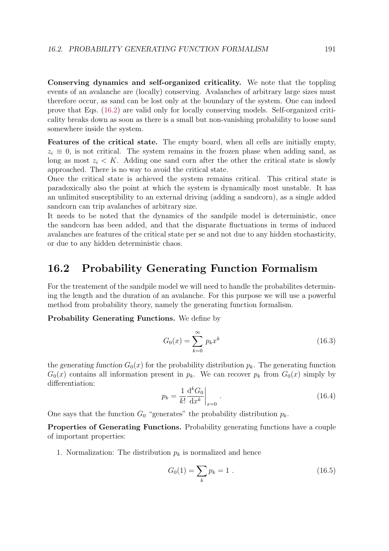Conserving dynamics and self-organized criticality. We note that the toppling events of an avalanche are (locally) conserving. Avalanches of arbitrary large sizes must therefore occur, as sand can be lost only at the boundary of the system. One can indeed prove that Eqs. (16.2) are valid only for locally conserving models. Self-organized criticality breaks down as soon as there is a small but non-vanishing probability to loose sand somewhere inside the system.

Features of the critical state. The empty board, when all cells are initially empty,  $z_i \equiv 0$ , is not critical. The system remains in the frozen phase when adding sand, as long as most  $z_i < K$ . Adding one sand corn after the other the critical state is slowly approached. There is no way to avoid the critical state.

Once the critical state is achieved the system remains critical. This critical state is paradoxically also the point at which the system is dynamically most unstable. It has an unlimited susceptibility to an external driving (adding a sandcorn), as a single added sandcorn can trip avalanches of arbitrary size.

It needs to be noted that the dynamics of the sandpile model is deterministic, once the sandcorn has been added, and that the disparate fluctuations in terms of induced avalanches are features of the critical state per se and not due to any hidden stochasticity, or due to any hidden deterministic chaos.

### 16.2 Probability Generating Function Formalism

For the treatement of the sandpile model we will need to handle the probabilites determining the length and the duration of an avalanche. For this purpose we will use a powerful method from probability theory, namely the generating function formalism.

Probability Generating Functions. We define by

$$
G_0(x) = \sum_{k=0}^{\infty} p_k x^k
$$
 (16.3)

the generating function  $G_0(x)$  for the probability distribution  $p_k$ . The generating function  $G_0(x)$  contains all information present in  $p_k$ . We can recover  $p_k$  from  $G_0(x)$  simply by differentiation:

$$
p_k = \frac{1}{k!} \frac{d^k G_0}{dx^k} \bigg|_{x=0} \,. \tag{16.4}
$$

One says that the function  $G_0$  "generates" the probability distribution  $p_k$ .

Properties of Generating Functions. Probability generating functions have a couple of important properties:

1. Normalization: The distribution  $p_k$  is normalized and hence

$$
G_0(1) = \sum_k p_k = 1.
$$
 (16.5)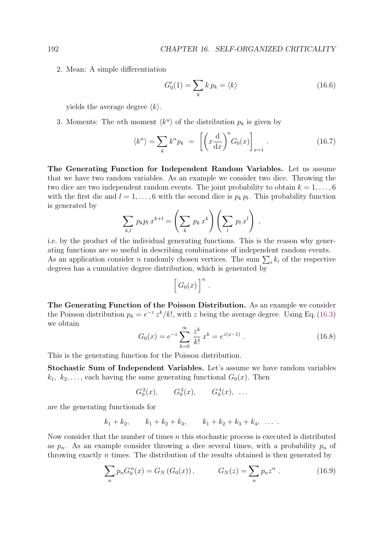2. Mean: A simple differentiation

$$
G_0'(1) = \sum_k k p_k = \langle k \rangle \tag{16.6}
$$

yields the average degree  $\langle k \rangle$ .

3. Moments: The *n*th moment  $\langle k^n \rangle$  of the distribution  $p_k$  is given by

$$
\langle k^n \rangle = \sum_k k^n p_k = \left[ \left( x \frac{d}{dx} \right)^n G_0(x) \right]_{x=1} . \tag{16.7}
$$

The Generating Function for Independent Random Variables. Let us assume that we have two random variables. As an example we consider two dice. Throwing the two dice are two independent random events. The joint probability to obtain  $k = 1, \ldots, 6$ with the first die and  $l = 1, \ldots, 6$  with the second dice is  $p_k p_l$ . This probability function is generated by

$$
\sum_{k,l} p_k p_l x^{k+l} = \left(\sum_k p_k x^k\right) \left(\sum_l p_l x^l\right) ,
$$

i.e. by the product of the individual generating functions. This is the reason why generating functions are so useful in describing combinations of independent random events. As an application consider *n* randomly chosen vertices. The sum  $\sum_i k_i$  of the respective degrees has a cumulative degree distribution, which is generated by

$$
\left[G_0(x)\right]^n.
$$

The Generating Function of the Poisson Distribution. As an example we consider the Poisson distribution  $p_k = e^{-z} z^k / k!$ , with z being the average degree. Using Eq. (16.3) we obtain

$$
G_0(x) = e^{-z} \sum_{k=0}^{\infty} \frac{z^k}{k!} x^k = e^{z(x-1)}.
$$
 (16.8)

This is the generating function for the Poisson distribution.

Stochastic Sum of Independent Variables. Let's assume we have random variables  $k_1, k_2, \ldots$ , each having the same generating functional  $G_0(x)$ . Then

$$
G_0^2(x)
$$
,  $G_0^3(x)$ ,  $G_0^4(x)$ , ...

are the generating functionals for

$$
k_1 + k_2
$$
,  $k_1 + k_2 + k_3$ ,  $k_1 + k_2 + k_3 + k_4$ , ...

Now consider that the number of times  $n$  this stochastic process is executed is distributed as  $p_n$ . As an example consider throwing a dice several times, with a probability  $p_n$  of throwing exactly n times. The distribution of the results obtained is then generated by

$$
\sum_{n} p_n G_0^n(x) = G_N(G_0(x)), \qquad G_N(z) = \sum_{n} p_n z^n . \qquad (16.9)
$$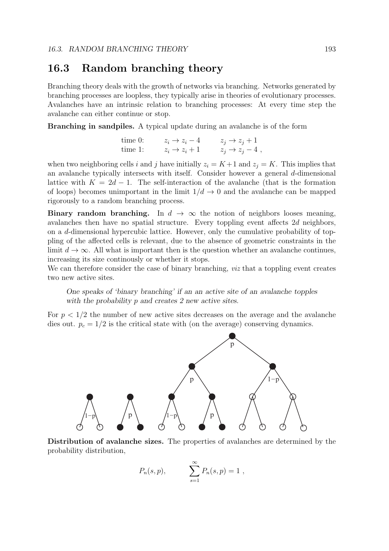## 16.3 Random branching theory

Branching theory deals with the growth of networks via branching. Networks generated by branching processes are loopless, they typically arise in theories of evolutionary processes. Avalanches have an intrinsic relation to branching processes: At every time step the avalanche can either continue or stop.

Branching in sandpiles. A typical update during an avalanche is of the form

time 0: 
$$
z_i \rightarrow z_i - 4
$$
  $z_j \rightarrow z_j + 1$   
time 1:  $z_i \rightarrow z_i + 1$   $z_j \rightarrow z_j - 4$ ,

when two neighboring cells i and j have initially  $z_i = K + 1$  and  $z_j = K$ . This implies that an avalanche typically intersects with itself. Consider however a general  $d$ -dimensional lattice with  $K = 2d - 1$ . The self-interaction of the avalanche (that is the formation of loops) becomes unimportant in the limit  $1/d \rightarrow 0$  and the avalanche can be mapped rigorously to a random branching process.

Binary random branching. In  $d \to \infty$  the notion of neighbors looses meaning, avalanches then have no spatial structure. Every toppling event affects 2d neighbors, on a d-dimensional hypercubic lattice. However, only the cumulative probability of toppling of the affected cells is relevant, due to the absence of geometric constraints in the limit  $d \to \infty$ . All what is important then is the question whether an avalanche continues, increasing its size continously or whether it stops.

We can therefore consider the case of binary branching, *viz* that a toppling event creates two new active sites.

One speaks of 'binary branching' if an an active site of an avalanche topples with the probability p and creates 2 new active sites.

For  $p < 1/2$  the number of new active sites decreases on the average and the avalanche dies out.  $p_c = 1/2$  is the critical state with (on the average) conserving dynamics.



Distribution of avalanche sizes. The properties of avalanches are determined by the probability distribution,

$$
P_n(s,p), \qquad \sum_{s=1}^{\infty} P_n(s,p) = 1 ,
$$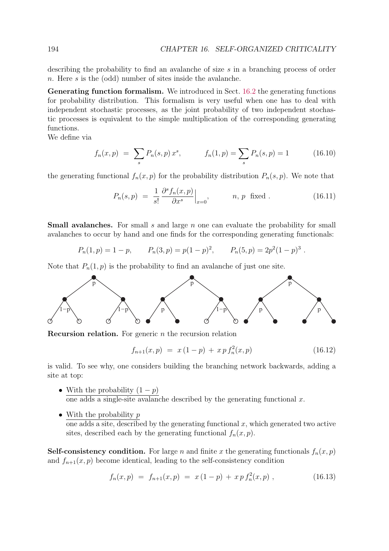describing the probability to find an avalanche of size s in a branching process of order n. Here s is the (odd) number of sites inside the avalanche.

Generating function formalism. We introduced in Sect. 16.2 the generating functions for probability distribution. This formalism is very useful when one has to deal with independent stochastic processes, as the joint probability of two independent stochastic processes is equivalent to the simple multiplication of the corresponding generating functions.

We define via

$$
f_n(x,p) = \sum_s P_n(s,p) x^s, \qquad f_n(1,p) = \sum_s P_n(s,p) = 1 \qquad (16.10)
$$

the generating functional  $f_n(x, p)$  for the probability distribution  $P_n(s, p)$ . We note that

$$
P_n(s,p) = \frac{1}{s!} \frac{\partial^s f_n(x,p)}{\partial x^s} \Big|_{x=0}, \qquad n, p \text{ fixed}. \qquad (16.11)
$$

Small avalanches. For small s and large n one can evaluate the probability for small avalanches to occur by hand and one finds for the corresponding generating functionals:

$$
P_n(1, p) = 1 - p
$$
,  $P_n(3, p) = p(1 - p)^2$ ,  $P_n(5, p) = 2p^2(1 - p)^3$ .

Note that  $P_n(1,p)$  is the probability to find an avalanche of just one site.



**Recursion relation.** For generic  $n$  the recursion relation

$$
f_{n+1}(x,p) = x(1-p) + x p f_n^2(x,p)
$$
 (16.12)

is valid. To see why, one considers building the branching network backwards, adding a site at top:

- With the probability  $(1 p)$ one adds a single-site avalanche described by the generating functional  $x$ .
- With the probability  $p$ one adds a site, described by the generating functional  $x$ , which generated two active sites, described each by the generating functional  $f_n(x, p)$ .

**Self-consistency condition.** For large n and finite x the generating functionals  $f_n(x, p)$ and  $f_{n+1}(x, p)$  become identical, leading to the self-consistency condition

$$
f_n(x,p) = f_{n+1}(x,p) = x(1-p) + xp f_n^2(x,p) , \qquad (16.13)
$$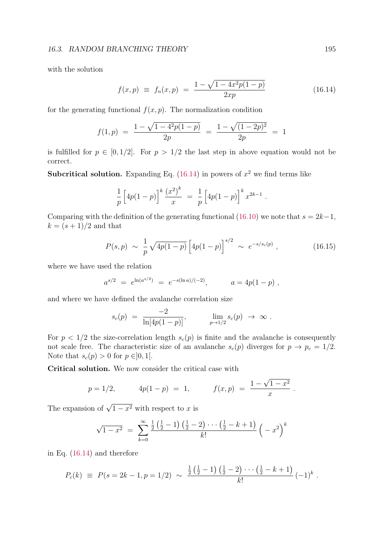#### 16.3. RANDOM BRANCHING THEORY 195

with the solution

$$
f(x,p) \equiv f_n(x,p) = \frac{1 - \sqrt{1 - 4x^2p(1-p)}}{2xp}
$$
 (16.14)

for the generating functional  $f(x, p)$ . The normalization condition

$$
f(1, p) = \frac{1 - \sqrt{1 - 4^2 p (1 - p)}}{2p} = \frac{1 - \sqrt{(1 - 2p)^2}}{2p} = 1
$$

is fulfilled for  $p \in [0, 1/2]$ . For  $p > 1/2$  the last step in above equation would not be correct.

**Subcritical solution.** Expanding Eq.  $(16.14)$  in powers of  $x^2$  we find terms like

$$
\frac{1}{p}\left[4p(1-p)\right]^k\frac{(x^2)^k}{x} = \frac{1}{p}\left[4p(1-p)\right]^k x^{2k-1}.
$$

Comparing with the definition of the generating functional (16.10) we note that  $s = 2k-1$ ,  $k = (s + 1)/2$  and that

$$
P(s,p) \sim \frac{1}{p} \sqrt{4p(1-p)} \left[ 4p(1-p) \right]^{s/2} \sim e^{-s/s_c(p)} , \qquad (16.15)
$$

.

where we have used the relation

$$
a^{s/2} = e^{\ln(a^{s/2})} = e^{-s(\ln a)/(-2)}, \qquad a = 4p(1-p)
$$
,

and where we have defined the avalanche correlation size

$$
s_c(p) = \frac{-2}{\ln[4p(1-p)]}, \qquad \lim_{p \to 1/2} s_c(p) \to \infty.
$$

For  $p < 1/2$  the size-correlation length  $s_c(p)$  is finite and the avalanche is consequently not scale free. The characteristic size of an avalanche  $s_c(p)$  diverges for  $p \to p_c = 1/2$ . Note that  $s_c(p) > 0$  for  $p \in ]0,1[$ .

Critical solution. We now consider the critical case with

$$
p = 1/2,
$$
  $4p(1-p) = 1,$   $f(x,p) = \frac{1-\sqrt{1-x^2}}{x}$ 

The expansion of  $\sqrt{1-x^2}$  with respect to x is

$$
\sqrt{1-x^2} = \sum_{k=0}^{\infty} \frac{\frac{1}{2}(\frac{1}{2}-1)(\frac{1}{2}-2)\cdots(\frac{1}{2}-k+1)}{k!} (-x^2)^k
$$

in Eq. (16.14) and therefore

$$
P_c(k) \equiv P(s = 2k - 1, p = 1/2) \sim \frac{\frac{1}{2}(\frac{1}{2} - 1)(\frac{1}{2} - 2) \cdots (\frac{1}{2} - k + 1)}{k!} (-1)^k.
$$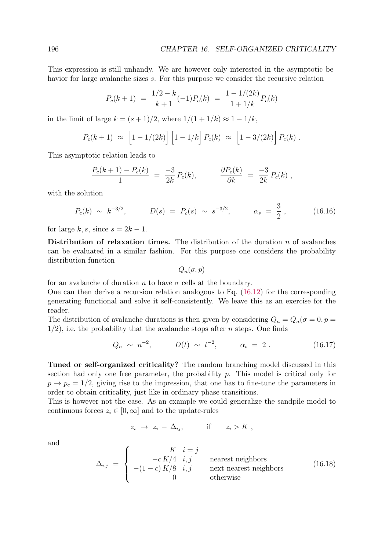This expression is still unhandy. We are however only interested in the asymptotic behavior for large avalanche sizes s. For this purpose we consider the recursive relation

$$
P_c(k+1) = \frac{1/2 - k}{k+1}(-1)P_c(k) = \frac{1 - 1/(2k)}{1 + 1/k}P_c(k)
$$

in the limit of large  $k = (s+1)/2$ , where  $1/(1+1/k) \approx 1-1/k$ ,

$$
P_c(k+1) \approx [1 - 1/(2k)] [1 - 1/k] P_c(k) \approx [1 - 3/(2k)] P_c(k).
$$

This asymptotic relation leads to

$$
\frac{P_c(k+1) - P_c(k)}{1} = \frac{-3}{2k} P_c(k), \qquad \frac{\partial P_c(k)}{\partial k} = \frac{-3}{2k} P_c(k) ,
$$

with the solution

$$
P_c(k) \sim k^{-3/2}
$$
,  $D(s) = P_c(s) \sim s^{-3/2}$ ,  $\alpha_s = \frac{3}{2}$ , (16.16)

for large k, s, since  $s = 2k - 1$ .

Distribution of relaxation times. The distribution of the duration  $n$  of avalanches can be evaluated in a similar fashion. For this purpose one considers the probability distribution function

 $Q_n(\sigma, p)$ 

for an avalanche of duration n to have  $\sigma$  cells at the boundary.

One can then derive a recursion relation analogous to Eq. (16.12) for the corresponding generating functional and solve it self-consistently. We leave this as an exercise for the reader.

The distribution of avalanche durations is then given by considering  $Q_n = Q_n(\sigma = 0, p =$  $1/2$ , i.e. the probability that the avalanche stops after *n* steps. One finds

$$
Q_n \sim n^{-2}
$$
,  $D(t) \sim t^{-2}$ ,  $\alpha_t = 2$ . (16.17)

Tuned or self-organized criticality? The random branching model discussed in this section had only one free parameter, the probability  $p$ . This model is critical only for  $p \to p_c = 1/2$ , giving rise to the impression, that one has to fine-tune the parameters in order to obtain criticality, just like in ordinary phase transitions.

This is however not the case. As an example we could generalize the sandpile model to continuous forces  $z_i \in [0, \infty]$  and to the update-rules

$$
z_i \to z_i - \Delta_{ij}, \qquad \text{if} \qquad z_i > K \ ,
$$

and

$$
\Delta_{i,j} = \begin{cases}\nK & i = j \\
-cK/4 & i, j \\
-(1-c)K/8 & i, j \\
0 & \text{otherwise}\n\end{cases}
$$
\nnext-nearest neighbors (16.18)